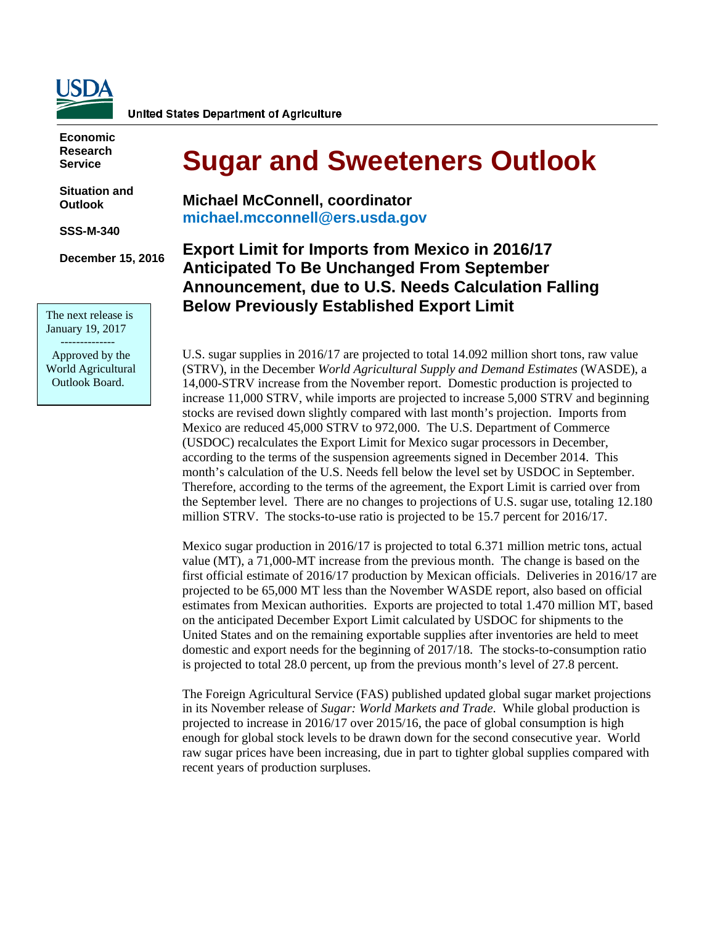

**United States Department of Agriculture** 

**Economic Research Service**

**Situation and Outlook**

**SSS-M-340**

**December 15, 2016**

The next release is January 19, 2017 --------------

 Approved by the World Agricultural Outlook Board.

# **Sugar and Sweeteners Outlook**

**Michael McConnell, coordinator [michael.mcconnell@ers.usda.gov](mailto:smriche@ers.usda.gov)**

## **Export Limit for Imports from Mexico in 2016/17 Anticipated To Be Unchanged From September Announcement, due to U.S. Needs Calculation Falling Below Previously Established Export Limit**

U.S. sugar supplies in 2016/17 are projected to total 14.092 million short tons, raw value (STRV), in the December *World Agricultural Supply and Demand Estimates* (WASDE), a 14,000-STRV increase from the November report. Domestic production is projected to increase 11,000 STRV, while imports are projected to increase 5,000 STRV and beginning stocks are revised down slightly compared with last month's projection. Imports from Mexico are reduced 45,000 STRV to 972,000. The U.S. Department of Commerce (USDOC) recalculates the Export Limit for Mexico sugar processors in December, according to the terms of the suspension agreements signed in December 2014. This month's calculation of the U.S. Needs fell below the level set by USDOC in September. Therefore, according to the terms of the agreement, the Export Limit is carried over from the September level. There are no changes to projections of U.S. sugar use, totaling 12.180 million STRV. The stocks-to-use ratio is projected to be 15.7 percent for 2016/17.

Mexico sugar production in 2016/17 is projected to total 6.371 million metric tons, actual value (MT), a 71,000-MT increase from the previous month. The change is based on the first official estimate of 2016/17 production by Mexican officials. Deliveries in 2016/17 are projected to be 65,000 MT less than the November WASDE report, also based on official estimates from Mexican authorities. Exports are projected to total 1.470 million MT, based on the anticipated December Export Limit calculated by USDOC for shipments to the United States and on the remaining exportable supplies after inventories are held to meet domestic and export needs for the beginning of 2017/18. The stocks-to-consumption ratio is projected to total 28.0 percent, up from the previous month's level of 27.8 percent.

The Foreign Agricultural Service (FAS) published updated global sugar market projections in its November release of *Sugar: World Markets and Trade*. While global production is projected to increase in 2016/17 over 2015/16, the pace of global consumption is high enough for global stock levels to be drawn down for the second consecutive year. World raw sugar prices have been increasing, due in part to tighter global supplies compared with recent years of production surpluses.